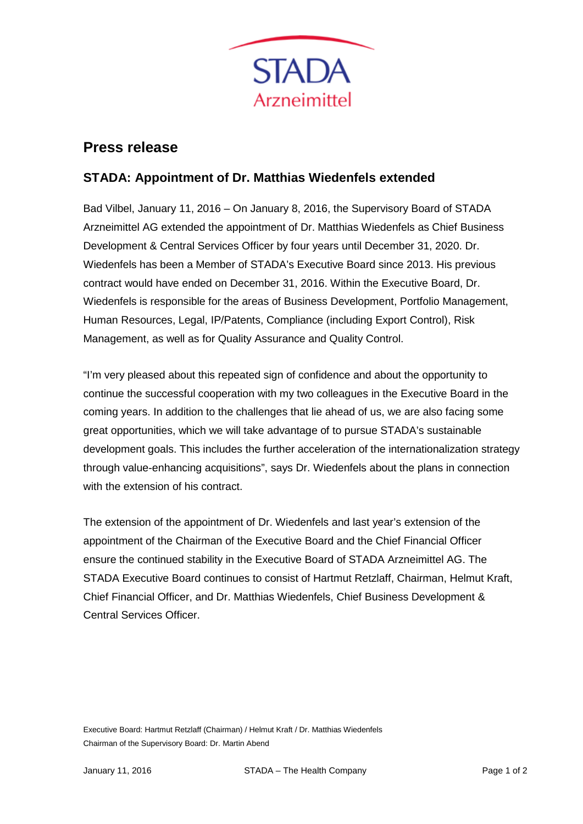

## **Press release**

## **STADA: Appointment of Dr. Matthias Wiedenfels extended**

Bad Vilbel, January 11, 2016 – On January 8, 2016, the Supervisory Board of STADA Arzneimittel AG extended the appointment of Dr. Matthias Wiedenfels as Chief Business Development & Central Services Officer by four years until December 31, 2020. Dr. Wiedenfels has been a Member of STADA's Executive Board since 2013. His previous contract would have ended on December 31, 2016. Within the Executive Board, Dr. Wiedenfels is responsible for the areas of Business Development, Portfolio Management, Human Resources, Legal, IP/Patents, Compliance (including Export Control), Risk Management, as well as for Quality Assurance and Quality Control.

"I'm very pleased about this repeated sign of confidence and about the opportunity to continue the successful cooperation with my two colleagues in the Executive Board in the coming years. In addition to the challenges that lie ahead of us, we are also facing some great opportunities, which we will take advantage of to pursue STADA's sustainable development goals. This includes the further acceleration of the internationalization strategy through value-enhancing acquisitions", says Dr. Wiedenfels about the plans in connection with the extension of his contract.

The extension of the appointment of Dr. Wiedenfels and last year's extension of the appointment of the Chairman of the Executive Board and the Chief Financial Officer ensure the continued stability in the Executive Board of STADA Arzneimittel AG. The STADA Executive Board continues to consist of Hartmut Retzlaff, Chairman, Helmut Kraft, Chief Financial Officer, and Dr. Matthias Wiedenfels, Chief Business Development & Central Services Officer.

Executive Board: Hartmut Retzlaff (Chairman) / Helmut Kraft / Dr. Matthias Wiedenfels Chairman of the Supervisory Board: Dr. Martin Abend